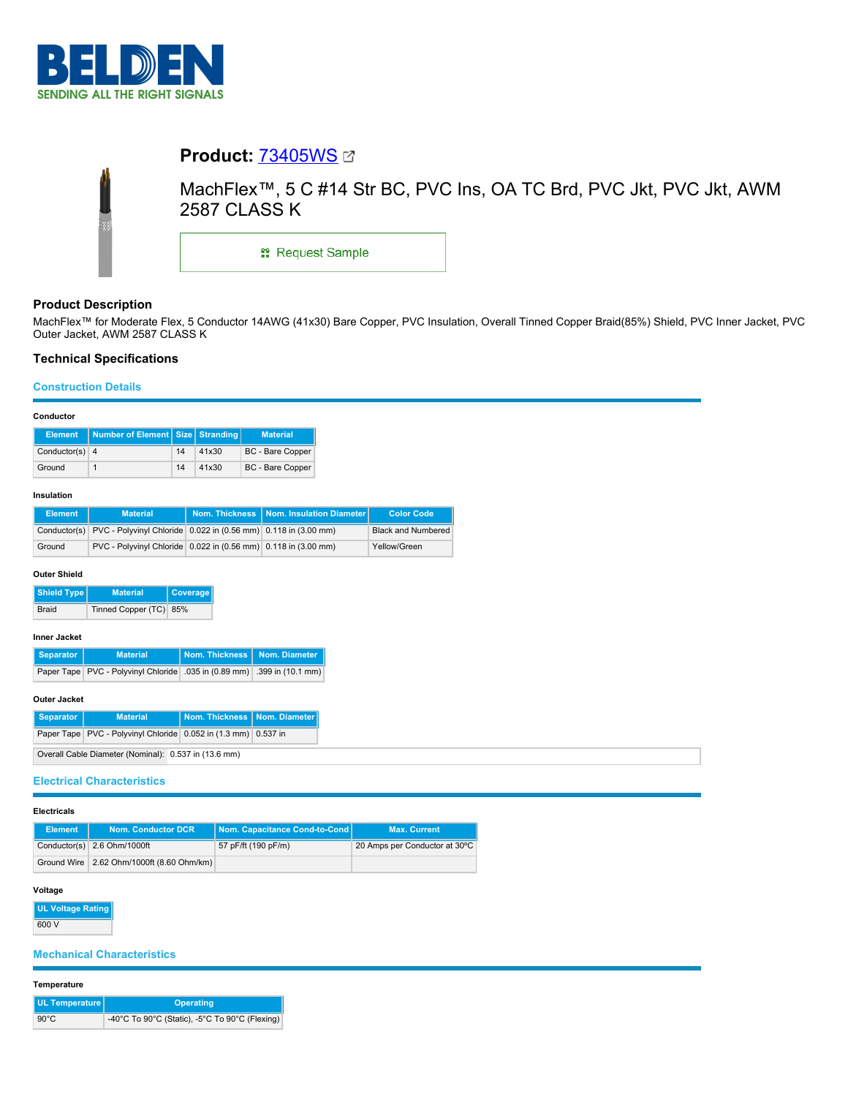

# **Product:** [73405WS](https://catalog.belden.com/index.cfm?event=pd&p=PF_73405WS&tab=downloads) MachFlex™, 5 C #14 Str BC, PVC Ins, OA TC Brd, PVC Jkt, PVC Jkt, AWM 2587 CLASS K \*\* Request Sample

# **Product Description**

MachFlex™ for Moderate Flex, 5 Conductor 14AWG (41x30) Bare Copper, PVC Insulation, Overall Tinned Copper Braid(85%) Shield, PVC Inner Jacket, PVC Outer Jacket, AWM 2587 CLASS K

# **Technical Specifications**

# **Construction Details**

# **Conductor**

|                  | Element   Number of Element   Size   Stranding |    |       | <b>Material</b>         |
|------------------|------------------------------------------------|----|-------|-------------------------|
| Conductor(s) $4$ |                                                | 14 | 41x30 | <b>BC</b> - Bare Copper |
| Ground           |                                                | 14 | 41x30 | <b>BC</b> - Bare Copper |

#### **Insulation**

| <b>Element</b> | <b>Material</b>                                                             | Nom. Thickness   Nom. Insulation Diameter | <b>Color Code</b>         |
|----------------|-----------------------------------------------------------------------------|-------------------------------------------|---------------------------|
|                | Conductor(s) PVC - Polyvinyl Chloride 0.022 in (0.56 mm) 0.118 in (3.00 mm) |                                           | <b>Black and Numbered</b> |
| Ground         | PVC - Polyvinyl Chloride 0.022 in (0.56 mm) 0.118 in (3.00 mm)              |                                           | Yellow/Green              |

## **Outer Shield**

| Shield Type | <b>Material</b>        | <b>Coverage</b> |
|-------------|------------------------|-----------------|
| Braid       | Tinned Copper (TC) 85% |                 |

### **Inner Jacket**

| Separator | <b>Material</b>                                                         | Nom. Thickness Nom. Diameter |  |
|-----------|-------------------------------------------------------------------------|------------------------------|--|
|           | Paper Tape PVC - Polyvinyl Chloride .035 in (0.89 mm) .399 in (10.1 mm) |                              |  |

# **Outer Jacket**

| Separator                                            | <b>Material</b>                                                      |  | Nom. Thickness   Nom. Diameter |  |
|------------------------------------------------------|----------------------------------------------------------------------|--|--------------------------------|--|
|                                                      | Paper Tape   PVC - Polyvinyl Chloride   0.052 in (1.3 mm)   0.537 in |  |                                |  |
| Overall Cable Diameter (Nominal): 0.537 in (13.6 mm) |                                                                      |  |                                |  |

# **Electrical Characteristics**

# **Electricals**

| <b>Element</b> | <b>Nom. Conductor DCR</b>                   | Nom. Capacitance Cond-to-Cond | <b>Max. Current</b>           |
|----------------|---------------------------------------------|-------------------------------|-------------------------------|
|                | Conductor(s) 2.6 Ohm/1000ft                 | 57 pF/ft (190 pF/m)           | 20 Amps per Conductor at 30°C |
|                | Ground Wire   2.62 Ohm/1000ft (8.60 Ohm/km) |                               |                               |

# **Voltage**

**UL Voltage Rating** 600 V

# **Mechanical Characteristics**

#### **Temperature**

| UL Temperature | Operating                                      |
|----------------|------------------------------------------------|
| $90^{\circ}$ C | -40°C To 90°C (Static), -5°C To 90°C (Flexing) |